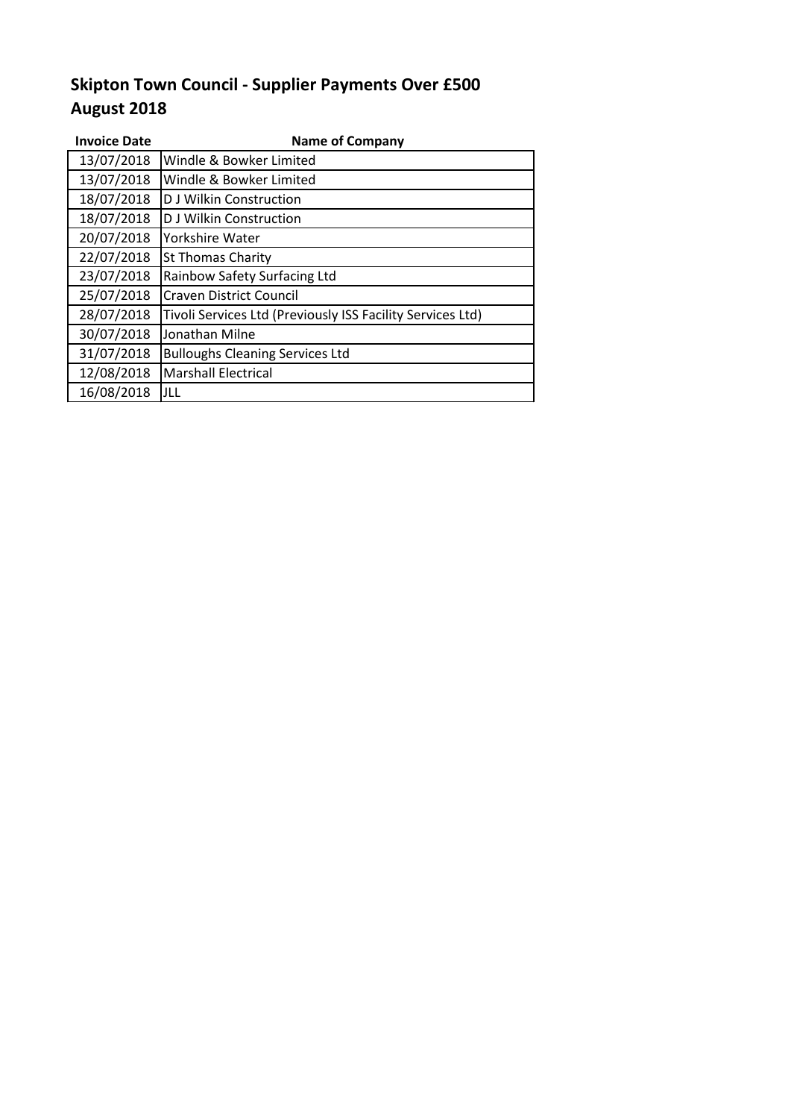## **August 2018 Skipton Town Council - Supplier Payments Over £500**

| <b>Invoice Date</b> | <b>Name of Company</b>                                     |  |
|---------------------|------------------------------------------------------------|--|
| 13/07/2018          | Windle & Bowker Limited                                    |  |
| 13/07/2018          | Windle & Bowker Limited                                    |  |
| 18/07/2018          | <b>D J Wilkin Construction</b>                             |  |
| 18/07/2018          | <b>D J Wilkin Construction</b>                             |  |
| 20/07/2018          | Yorkshire Water                                            |  |
| 22/07/2018          | <b>St Thomas Charity</b>                                   |  |
| 23/07/2018          | Rainbow Safety Surfacing Ltd                               |  |
| 25/07/2018          | <b>Craven District Council</b>                             |  |
| 28/07/2018          | Tivoli Services Ltd (Previously ISS Facility Services Ltd) |  |
| 30/07/2018          | Jonathan Milne                                             |  |
| 31/07/2018          | <b>Bulloughs Cleaning Services Ltd</b>                     |  |
| 12/08/2018          | <b>Marshall Electrical</b>                                 |  |
| 16/08/2018          | JLL                                                        |  |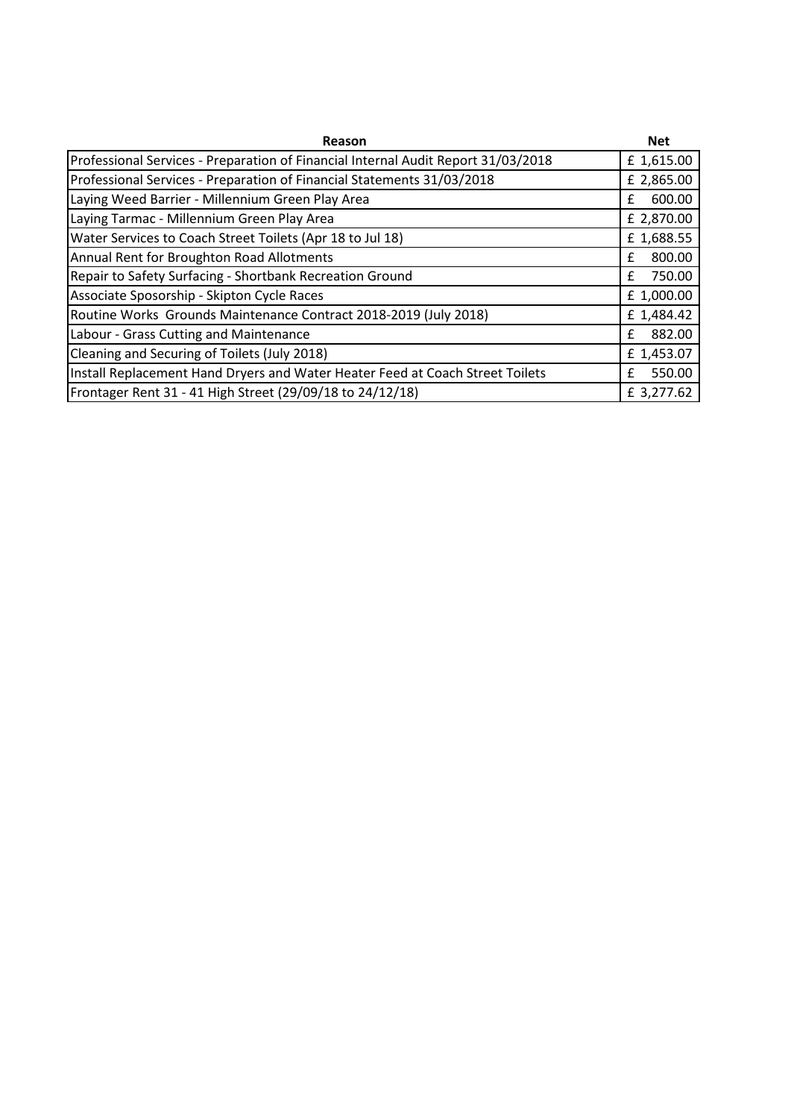| Reason                                                                            | <b>Net</b> |  |
|-----------------------------------------------------------------------------------|------------|--|
| Professional Services - Preparation of Financial Internal Audit Report 31/03/2018 |            |  |
| Professional Services - Preparation of Financial Statements 31/03/2018            |            |  |
| Laying Weed Barrier - Millennium Green Play Area                                  |            |  |
| Laying Tarmac - Millennium Green Play Area                                        |            |  |
| Water Services to Coach Street Toilets (Apr 18 to Jul 18)                         |            |  |
| Annual Rent for Broughton Road Allotments                                         |            |  |
| Repair to Safety Surfacing - Shortbank Recreation Ground                          |            |  |
| Associate Sposorship - Skipton Cycle Races                                        |            |  |
| Routine Works Grounds Maintenance Contract 2018-2019 (July 2018)                  |            |  |
| Labour - Grass Cutting and Maintenance                                            |            |  |
| Cleaning and Securing of Toilets (July 2018)                                      |            |  |
| Install Replacement Hand Dryers and Water Heater Feed at Coach Street Toilets     |            |  |
| Frontager Rent 31 - 41 High Street (29/09/18 to 24/12/18)                         |            |  |